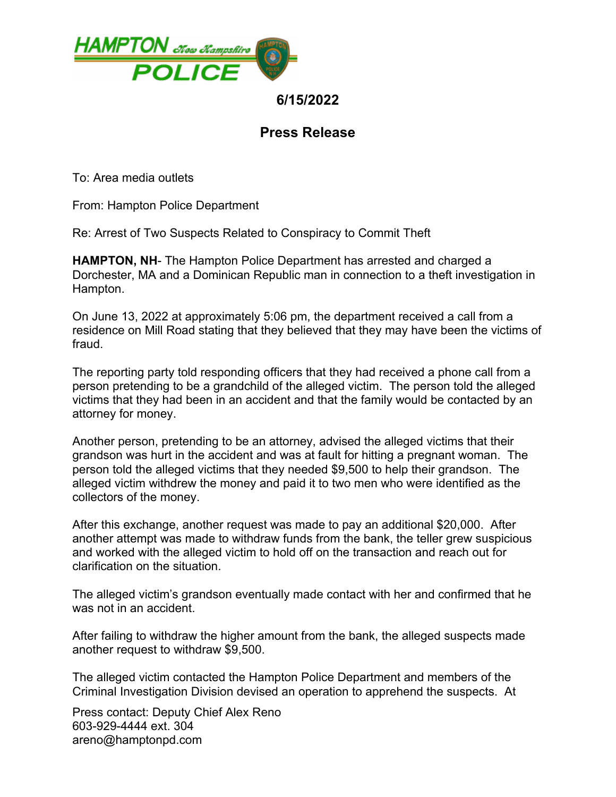

## **6/15/2022**

# **Press Release**

To: Area media outlets

From: Hampton Police Department

Re: Arrest of Two Suspects Related to Conspiracy to Commit Theft

**HAMPTON, NH**- The Hampton Police Department has arrested and charged a Dorchester, MA and a Dominican Republic man in connection to a theft investigation in Hampton.

On June 13, 2022 at approximately 5:06 pm, the department received a call from a residence on Mill Road stating that they believed that they may have been the victims of fraud.

The reporting party told responding officers that they had received a phone call from a person pretending to be a grandchild of the alleged victim. The person told the alleged victims that they had been in an accident and that the family would be contacted by an attorney for money.

Another person, pretending to be an attorney, advised the alleged victims that their grandson was hurt in the accident and was at fault for hitting a pregnant woman. The person told the alleged victims that they needed \$9,500 to help their grandson. The alleged victim withdrew the money and paid it to two men who were identified as the collectors of the money.

After this exchange, another request was made to pay an additional \$20,000. After another attempt was made to withdraw funds from the bank, the teller grew suspicious and worked with the alleged victim to hold off on the transaction and reach out for clarification on the situation.

The alleged victim's grandson eventually made contact with her and confirmed that he was not in an accident.

After failing to withdraw the higher amount from the bank, the alleged suspects made another request to withdraw \$9,500.

The alleged victim contacted the Hampton Police Department and members of the Criminal Investigation Division devised an operation to apprehend the suspects. At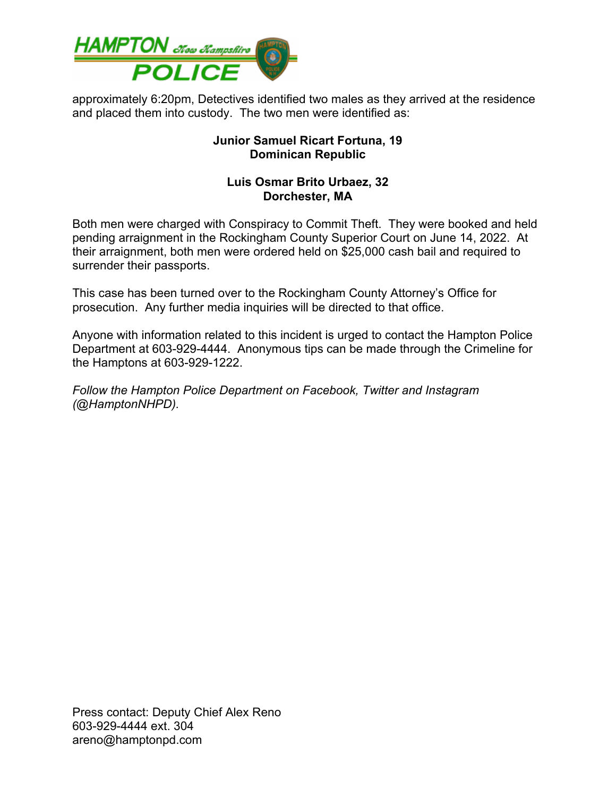

approximately 6:20pm, Detectives identified two males as they arrived at the residence and placed them into custody. The two men were identified as:

#### **Junior Samuel Ricart Fortuna, 19 Dominican Republic**

#### **Luis Osmar Brito Urbaez, 32 Dorchester, MA**

Both men were charged with Conspiracy to Commit Theft. They were booked and held pending arraignment in the Rockingham County Superior Court on June 14, 2022. At their arraignment, both men were ordered held on \$25,000 cash bail and required to surrender their passports.

This case has been turned over to the Rockingham County Attorney's Office for prosecution. Any further media inquiries will be directed to that office.

Anyone with information related to this incident is urged to contact the Hampton Police Department at 603-929-4444. Anonymous tips can be made through the Crimeline for the Hamptons at 603-929-1222.

*Follow the Hampton Police Department on Facebook, Twitter and Instagram (@HamptonNHPD).*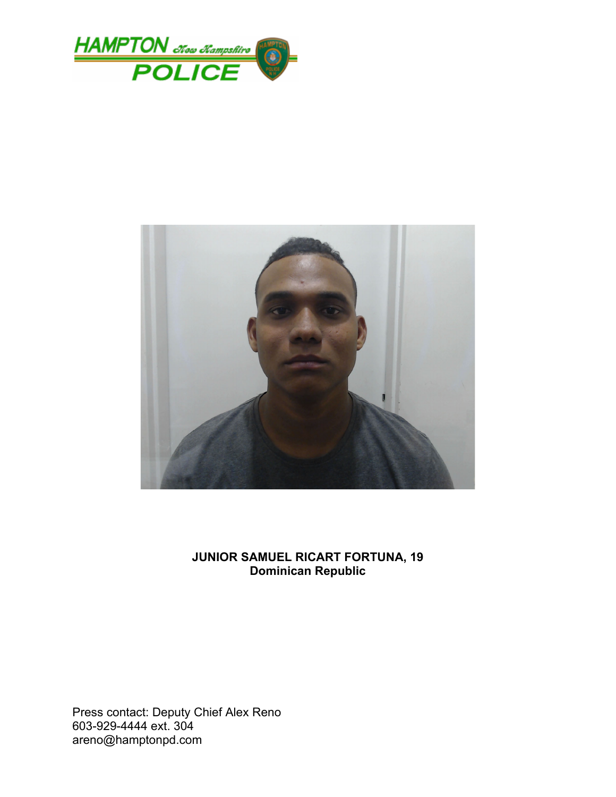



### **JUNIOR SAMUEL RICART FORTUNA, 19 Dominican Republic**